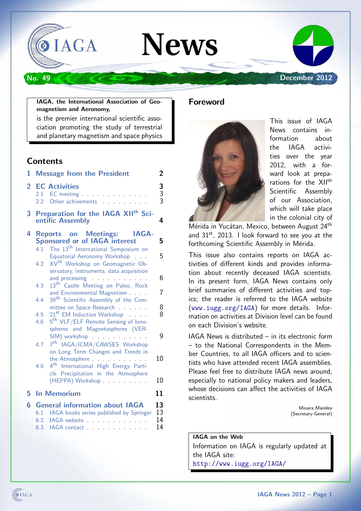

#### IAGA, the International Association of Geomagnetism and Aeronomy,

is the premier international scientific association promoting the study of terrestrial and planetary magnetism and space physics

## **Contents**

| 1              |                   | <b>Message from the President</b>                                                                                                                                                                                                                                                                                 | 2                    |
|----------------|-------------------|-------------------------------------------------------------------------------------------------------------------------------------------------------------------------------------------------------------------------------------------------------------------------------------------------------------------|----------------------|
| $\overline{2}$ | 2.2               | <b>EC Activities</b><br>2.1 EC meeting entitled and the set of the set of the set of the set of the set of the set of the set of the set of the set of the set of the set of the set of the set of the set of the set of the set of the set of the set<br>Other achivements                                       | $\frac{3}{3}$        |
| 3              |                   | Preparation for the IAGA XII <sup>th</sup> Sci-<br>entific Assembly                                                                                                                                                                                                                                               | 4                    |
| 4              | 4.1<br>4.2        | <b>Reports on Meetings:</b><br><b>IAGA-</b><br><b>Sponsored or of IAGA interest</b><br>The 13 <sup>th</sup> International Symposium on<br>Equatorial Aeronomy Workshop<br>XV <sup>th</sup> Workshop on Geomagnetic Ob-<br>servatory, instruments, data acquisition<br>and processing entertainment and processing | 5<br>5<br>6          |
|                | 4.3               | 13 <sup>th</sup> Castle Meeting on Paleo, Rock                                                                                                                                                                                                                                                                    | 7                    |
|                | 44<br>4.5<br>4.6  | and Environmental Magnetism<br>39 <sup>th</sup> Scientific Assembly of the Com-<br>mittee on Space Research<br>21 <sup>st</sup> EM Induction Workshop<br>5 <sup>th</sup> VLF/ELF Remote Sensing of lono-                                                                                                          | 8<br>8               |
|                | 4.7               | spheres and Magnetospheres (VER-<br>SIM) workshop<br>7 <sup>th</sup> IAGA/ICMA/CAWSES Workshop<br>on Long Term Changes and Trends in                                                                                                                                                                              | 9<br>10              |
|                | 4.8               | the Atmosphere and a state of the Atmosphere<br>4 <sup>th</sup> International High Energy Parti-<br>cle Precipitation in the Atmosphere<br>(HEPPA) Workshop                                                                                                                                                       | 10                   |
| 5              |                   | <b>In Memorium</b>                                                                                                                                                                                                                                                                                                | 11                   |
| 6              | 6.1<br>6.2<br>6.3 | <b>General information about IAGA</b><br>IAGA books series published by Springer<br>IAGA website.<br>and a straight and a straight                                                                                                                                                                                | 13<br>13<br>14<br>14 |

## Foreword



This issue of IAGA News contains information about the IAGA activities over the year 2012, with a forward look at preparations for the XII<sup>th</sup> Scientific Assembly of our Association, which will take place in the colonial city of

Mérida in Yucátan, Mexico, between August 24<sup>th</sup> and  $31^{st}$ , 2013. I look forward to see you at the forthcoming Scientific Assembly in Mérida.

This issue also contains reports on IAGA activities of different kinds and provides information about recently deceased IAGA scientists. In its present form, IAGA News contains only brief summaries of different activities and topics; the reader is referred to the IAGA website (<www.iugg.org/IAGA>) for more details. Information on activities at Division level can be found on each Division's website.

IAGA News is distributed – in its electronic form – to the National Correspondents in the Member Countries, to all IAGA officers and to scientists who have attended recent IAGA assemblies. Please feel free to distribute IAGA news around, especially to national policy makers and leaders, whose decisions can affect the activities of IAGA scientists.

> Mioara Mandea (Secretary-General)

IAGA on the Web Information on IAGA is regularly updated at the IAGA site: <http://www.iugg.org/IAGA/>

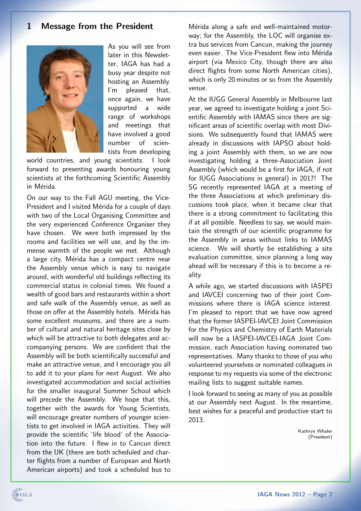# <span id="page-1-0"></span>1 Message from the President



As you will see from later in this Newsletter, IAGA has had a busy year despite not hosting an Assembly. I'm pleased that, once again, we have supported a wide range of workshops and meetings that have involved a good number of scientists from developing

world countries, and young scientists. I look forward to presenting awards honouring young scientists at the forthcoming Scientific Assembly in Mérida.

On our way to the Fall AGU meeting, the Vice-President and I visited Mérida for a couple of days with two of the Local Organising Committee and the very experienced Conference Organiser they have chosen. We were both impressed by the rooms and facilities we will use, and by the immense warmth of the people we met. Although a large city, Mérida has a compact centre near the Assembly venue which is easy to navigate around, with wonderful old buildings reflecting its commercial status in colonial times. We found a wealth of good bars and restaurants within a short and safe walk of the Assembly venue, as well as those on offer at the Assembly hotels. Mérida has some excellent museums, and there are a number of cultural and natural heritage sites close by which will be attractive to both delegates and accompanying persons. We are confident that the Assembly will be both scientifically successful and make an attractive venue, and I encourage you all to add it to your plans for next August. We also investigated accommodation and social activities for the smaller inaugural Summer School which will precede the Assembly. We hope that this, together with the awards for Young Scientists, will encourage greater numbers of younger scientists to get involved in IAGA activities. They will provide the scientific 'life blood' of the Association into the future. I flew in to Cancun direct from the UK (there are both scheduled and charter flights from a number of European and North American airports) and took a scheduled bus to

Mérida along a safe and well-maintained motorway; for the Assembly, the LOC will organise extra bus services from Cancun, making the journey even easier. The Vice-President flew into Mérida airport (via Mexico City, though there are also direct flights from some North American cities), which is only 20 minutes or so from the Assembly venue.

At the IUGG General Assembly in Melbourne last year, we agreed to investigate holding a joint Scientific Assembly with IAMAS since there are significant areas of scientific overlap with most Divisions. We subsequently found that IAMAS were already in discussions with IAPSO about holding a joint Assembly with them, so we are now investigating holding a three-Association Joint Assembly (which would be a first for IAGA, if not for IUGG Associations in general) in 2017! The SG recently represented IAGA at a meeting of the three Associations at which preliminary discussions took place, when it became clear that there is a strong commitment to facilitating this if at all possible. Needless to say, we would maintain the strength of our scientific programme for the Assembly in areas without links to IAMAS science. We will shortly be establishing a site evaluation committee, since planning a long way ahead will be necessary if this is to become a reality.

A while ago, we started discussions with IASPEI and IAVCEI concerning two of their joint Commissions where there is IAGA science interest. I'm pleased to report that we have now agreed that the former IASPEI-IAVCEI Joint Commission for the Physics and Chemistry of Earth Materials will now be a IASPEI-IAVCEI-IAGA Joint Commission, each Association having nominated two representatives. Many thanks to those of you who volunteered yourselves or nominated colleagues in response to my requests via some of the electronic mailing lists to suggest suitable names.

I look forward to seeing as many of you as possible at our Assembly next August. In the meantime, best wishes for a peaceful and productive start to 2013.

> Kathryn Whaler (President)

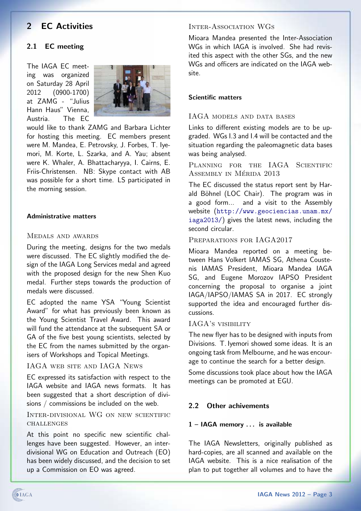# <span id="page-2-0"></span>2 EC Activities

## <span id="page-2-1"></span>2.1 EC meeting

The IAGA EC meeting was organized on Saturday 28 April 2012 (0900-1700) at ZAMG - "Julius Hann Haus" Vienna, Austria. The EC



would like to thank ZAMG and Barbara Lichter for hosting this meeting. EC members present were M. Mandea, E. Petrovsky, J. Forbes, T. Iyemori, M. Korte, L. Szarka, and A. Yau; absent were K. Whaler, A. Bhattacharyya, I. Cairns, E. Friis-Christensen. NB: Skype contact with AB was possible for a short time. LS participated in the morning session.

## Administrative matters

## Medals and awards

During the meeting, designs for the two medals were discussed. The EC slightly modified the design of the IAGA Long Services medal and agreed with the proposed design for the new Shen Kuo medal. Further steps towards the production of medals were discussed.

EC adopted the name YSA "Young Scientist Award" for what has previously been known as the Young Scientist Travel Award. This award will fund the attendance at the subsequent SA or GA of the five best young scientists, selected by the EC from the names submitted by the organisers of Workshops and Topical Meetings.

### IAGA web site and IAGA News

EC expressed its satisfaction with respect to the IAGA website and IAGA news formats. It has been suggested that a short description of divisions / commissions be included on the web.

Inter-divisional WG on new scientific **CHALLENGES** 

At this point no specific new scientific challenges have been suggested. However, an interdivisional WG on Education and Outreach (EO) has been widely discussed, and the decision to set up a Commission on EO was agreed.

#### Inter-Association WGs

Mioara Mandea presented the Inter-Association WGs in which IAGA is involved. She had revisited this aspect with the other SGs, and the new WGs and officers are indicated on the IAGA website.

### Scientific matters

## IAGA models and data bases

Links to different existing models are to be upgraded. WGs I.3 and I.4 will be contacted and the situation regarding the paleomagnetic data bases was being analysed.

PLANNING FOR THE IAGA SCIENTIFIC ASSEMBLY IN MÉRIDA 2013

The EC discussed the status report sent by Harald Böhnel (LOC Chair). The program was in a good form... and a visit to the Assembly website ([http://www.geociencias.unam.mx/](http://www.geociencias.unam.mx/iaga2013/) [iaga2013/](http://www.geociencias.unam.mx/iaga2013/)) gives the latest news, including the second circular.

#### PREPARATIONS FOR IAGA2017

Mioara Mandea reported on a meeting between Hans Volkert IAMAS SG, Athena Coustenis IAMAS President, Mioara Mandea IAGA SG, and Eugene Morozov IAPSO President concerning the proposal to organise a joint IAGA/IAPSO/IAMAS SA in 2017. EC strongly supported the idea and encouraged further discussions.

## IAGA's visibility

The new flyer has to be designed with inputs from Divisions. T. Iyemori showed some ideas. It is an ongoing task from Melbourne, and he was encourage to continue the search for a better design.

Some discussions took place about how the IAGA meetings can be promoted at EGU.

### <span id="page-2-2"></span>2.2 Other achivements

#### 1 – IAGA memory . . . is available

The IAGA Newsletters, originally published as hard-copies, are all scanned and available on the IAGA website. This is a nice realisation of the plan to put together all volumes and to have the

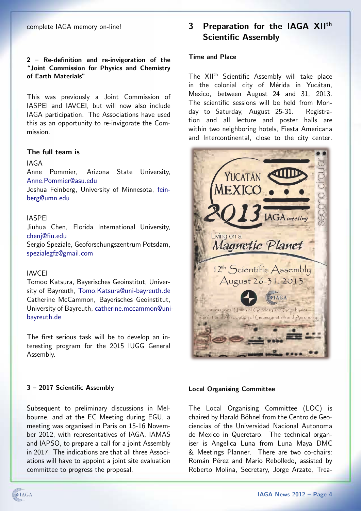## 2 – Re-definition and re-invigoration of the "Joint Commission for Physics and Chemistry of Earth Materials"

This was previously a Joint Commission of IASPEI and IAVCEI, but will now also include IAGA participation. The Associations have used this as an opportunity to re-invigorate the Commission.

## The full team is

#### IAGA

Anne Pommier, Arizona State University, [Anne.Pommier@asu.edu](mailto:Anne.Pommier@asu.edu)

Joshua Feinberg, University of Minnesota, [fein](mailto:feinberg@umn.edu)[berg@umn.edu](mailto:feinberg@umn.edu)

#### IASPEI

Jiuhua Chen, Florida International University, [chenj@fiu.edu](mailto:chenj@fiu.edu) Sergio Speziale, Geoforschungszentrum Potsdam, [spezialegfz@gmail.com](mailto:spezialegfz@gmail.com)

#### IAVCEI

Tomoo Katsura, Bayerisches Geoinstitut, University of Bayreuth, [Tomo.Katsura@uni-bayreuth.de](mailto:Tomo.Katsura@uni-bayreuth.de) Catherine McCammon, Bayerisches Geoinstitut, University of Bayreuth, [catherine.mccammon@uni](mailto:catherine.mccammon@uni-bayreuth.de)[bayreuth.de](mailto:catherine.mccammon@uni-bayreuth.de)

The first serious task will be to develop an interesting program for the 2015 IUGG General Assembly.

# <span id="page-3-0"></span>3 Preparation for the IAGA XII<sup>th</sup> Scientific Assembly

## Time and Place

The XII<sup>th</sup> Scientific Assembly will take place in the colonial city of Mérida in Yucátan, Mexico, between August 24 and 31, 2013. The scientific sessions will be held from Monday to Saturday, August 25-31. Registration and all lecture and poster halls are within two neighboring hotels, Fiesta Americana and Intercontinental, close to the city center.



#### 3 – 2017 Scientific Assembly

Subsequent to preliminary discussions in Melbourne, and at the EC Meeting during EGU, a meeting was organised in Paris on 15-16 November 2012, with representatives of IAGA, IAMAS and IAPSO, to prepare a call for a joint Assembly in 2017. The indications are that all three Associations will have to appoint a joint site evaluation committee to progress the proposal.

#### Local Organising Committee

The Local Organising Committee (LOC) is chaired by Harald Böhnel from the Centro de Geociencias of the Universidad Nacional Autonoma de Mexico in Queretaro. The technical organiser is Angelica Luna from Luna Maya DMC & Meetings Planner. There are two co-chairs: Román Pérez and Mario Rebolledo, assisted by Roberto Molina, Secretary, Jorge Arzate, Trea-

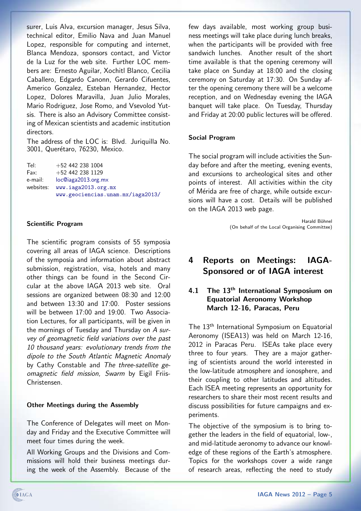surer, Luis Alva, excursion manager, Jesus Silva, technical editor, Emilio Nava and Juan Manuel Lopez, responsible for computing and internet, Blanca Mendoza, sponsors contact, and Victor de la Luz for the web site. Further LOC members are: Ernesto Aguilar, Xochitl Blanco, Cecilia Caballero, Edgardo Canonn, Gerardo Cifuentes, Americo Gonzalez, Esteban Hernandez, Hector Lopez, Dolores Maravilla, Juan Julio Morales, Mario Rodriguez, Jose Romo, and Vsevolod Yutsis. There is also an Advisory Committee consisting of Mexican scientists and academic institution directors.

The address of the LOC is: Blvd. Juriquilla No. 3001, Querétaro, 76230, Mexico.

Tel: +52 442 238 1004 Fax: +52 442 238 1129 e-mail: [loc@iaga2013.org.mx](mailto:loc@iaga2013.org.mx) websites: <www.iaga2013.org.mx> <www.geociencias.unam.mx/iaga2013/>

### Scientific Program

The scientific program consists of 55 symposia covering all areas of IAGA science. Descriptions of the symposia and information about abstract submission, registration, visa, hotels and many other things can be found in the Second Circular at the above IAGA 2013 web site. Oral sessions are organized between 08:30 and 12:00 and between 13:30 and 17:00. Poster sessions will be between 17:00 and 19:00. Two Association Lectures, for all participants, will be given in the mornings of Tuesday and Thursday on A survey of geomagnetic field variations over the past 10 thousand years: evolutionary trends from the dipole to the South Atlantic Magnetic Anomaly by Cathy Constable and The three-satellite geomagnetic field mission, Swarm by Eigil Friis-Christensen.

#### Other Meetings during the Assembly

The Conference of Delegates will meet on Monday and Friday and the Executive Committee will meet four times during the week.

All Working Groups and the Divisions and Commissions will hold their business meetings during the week of the Assembly. Because of the

few days available, most working group business meetings will take place during lunch breaks, when the participants will be provided with free sandwich lunches. Another result of the short time available is that the opening ceremony will take place on Sunday at 18:00 and the closing ceremony on Saturday at 17:30. On Sunday after the opening ceremony there will be a welcome reception, and on Wednesday evening the IAGA banquet will take place. On Tuesday, Thursday and Friday at 20:00 public lectures will be offered.

#### Social Program

The social program will include activities the Sunday before and after the meeting, evening events, and excursions to archeological sites and other points of interest. All activities within the city of Mérida are free of charge, while outside excursions will have a cost. Details will be published on the IAGA 2013 web page.

> Harald Böhnel (On behalf of the Local Organising Committee)

# <span id="page-4-0"></span>4 Reports on Meetings: IAGA-Sponsored or of IAGA interest

## <span id="page-4-1"></span>4.1 The 13<sup>th</sup> International Symposium on Equatorial Aeronomy Workshop March 12-16, Paracas, Peru

The 13<sup>th</sup> International Symposium on Equatorial Aeronomy (ISEA13) was held on March 12-16, 2012 in Paracas Peru. ISEAs take place every three to four years. They are a major gathering of scientists around the world interested in the low-latitude atmosphere and ionosphere, and their coupling to other latitudes and altitudes. Each ISEA meeting represents an opportunity for researchers to share their most recent results and discuss possibilities for future campaigns and experiments.

The objective of the symposium is to bring together the leaders in the field of equatorial, low-, and mid-latitude aeronomy to advance our knowledge of these regions of the Earth's atmosphere. Topics for the workshops cover a wide range of research areas, reflecting the need to study

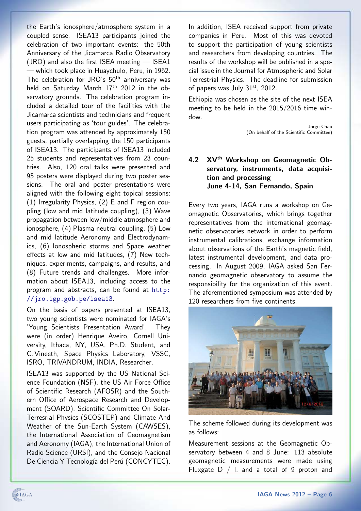the Earth's ionosphere/atmosphere system in a coupled sense. ISEA13 participants joined the celebration of two important events: the 50th Anniversary of the Jicamarca Radio Observatory (JRO) and also the first ISEA meeting — ISEA1 — which took place in Huaychulo, Peru, in 1962. The celebration for JRO's 50<sup>th</sup> anniversary was held on Saturday March 17<sup>th</sup> 2012 in the observatory grounds. The celebration program included a detailed tour of the facilities with the Jicamarca scientists and technicians and frequent users participating as 'tour guides'. The celebration program was attended by approximately 150 guests, partially overlapping the 150 participants of ISEA13. The participants of ISEA13 included 25 students and representatives from 23 countries. Also, 120 oral talks were presented and 95 posters were displayed during two poster sessions. The oral and poster presentations were aligned with the following eight topical sessions: (1) Irregularity Physics, (2) E and F region coupling (low and mid latitude coupling), (3) Wave propagation between low/middle atmosphere and ionosphere, (4) Plasma neutral coupling, (5) Low and mid latitude Aeronomy and Electrodynamics, (6) Ionospheric storms and Space weather effects at low and mid latitudes, (7) New techniques, experiments, campaigns, and results, and (8) Future trends and challenges. More information about ISEA13, including access to the program and abstracts, can be found at [http:](http://jro.igp.gob.pe/isea13) [//jro.igp.gob.pe/isea13](http://jro.igp.gob.pe/isea13).

On the basis of papers presented at ISEA13, two young scientists were nominated for IAGA's 'Young Scientists Presentation Award'. They were (in order) Henrique Aveiro, Cornell University, Ithaca, NY, USA, Ph.D. Student, and C. Vineeth, Space Physics Laboratory, VSSC, ISRO, TRIVANDRUM, INDIA, Researcher.

ISEA13 was supported by the US National Science Foundation (NSF), the US Air Force Office of Scientific Research (AFOSR) and the Southern Office of Aerospace Research and Development (SOARD), Scientific Committee On Solar-Terresrial Physics (SCOSTEP) and Climate And Weather of the Sun-Earth System (CAWSES), the International Association of Geomagnetism and Aeronomy (IAGA), the International Union of Radio Science (URSI), and the Consejo Nacional De Ciencia Y Tecnología del Perú (CONCYTEC).

In addition, ISEA received support from private companies in Peru. Most of this was devoted to support the participation of young scientists and researchers from developing countries. The results of the workshop will be published in a special issue in the Journal for Atmospheric and Solar Terrestrial Physics. The deadline for submission of papers was July  $31<sup>st</sup>$ , 2012.

Ethiopia was chosen as the site of the next ISEA meeting to be held in the 2015/2016 time window.

> Jorge Chau (On behalf of the Scientific Committee)

# <span id="page-5-0"></span>4.2 XV<sup>th</sup> Workshop on Geomagnetic Observatory, instruments, data acquisition and processing June 4-14, San Fernando, Spain

Every two years, IAGA runs a workshop on Geomagnetic Observatories, which brings together representatives from the international geomagnetic observatories network in order to perform instrumental calibrations, exchange information about observations of the Earth's magnetic field, latest instrumental development, and data processing. In August 2009, IAGA asked San Fernando geomagnetic observatory to assume the responsibility for the organization of this event. The aforementioned symposium was attended by 120 researchers from five continents.



The scheme followed during its development was as follows:

Measurement sessions at the Geomagnetic Observatory between 4 and 8 June: 113 absolute geomagnetic measurements were made using Fluxgate  $D / I$ , and a total of 9 proton and

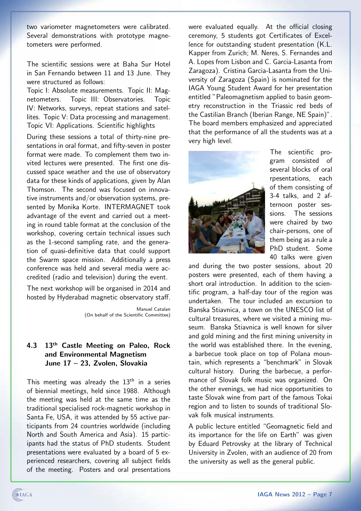two variometer magnetometers were calibrated. Several demonstrations with prototype magnetometers were performed.

The scientific sessions were at Baha Sur Hotel in San Fernando between 11 and 13 June. They were structured as follows:

Topic I: Absolute measurements. Topic II: Magnetometers. Topic III: Observatories. Topic IV: Networks, surveys, repeat stations and satellites. Topic V: Data processing and management. Topic VI: Applications. Scientific highlights

During these sessions a total of thirty-nine presentations in oral format, and fifty-seven in poster format were made. To complement them two invited lectures were presented. The first one discussed space weather and the use of observatory data for these kinds of applications, given by Alan Thomson. The second was focused on innovative instruments and/or observation systems, presented by Monika Korte. INTERMAGNET took advantage of the event and carried out a meeting in round table format at the conclusion of the workshop, covering certain technical issues such as the 1-second sampling rate, and the generation of quasi-definitive data that could support the Swarm space mission. Additionally a press conference was held and several media were accredited (radio and television) during the event.

The next workshop will be organised in 2014 and hosted by Hyderabad magnetic observatory staff.

> Manuel Catalan (On behalf of the Scientific Committee)

## <span id="page-6-0"></span>4.3 13<sup>th</sup> Castle Meeting on Paleo, Rock and Environmental Magnetism June 17 – 23, Zvolen, Slovakia

This meeting was already the  $13<sup>th</sup>$  in a series of biennial meetings, held since 1988. Although the meeting was held at the same time as the traditional specialised rock-magnetic workshop in Santa Fe, USA, it was attended by 55 active participants from 24 countries worldwide (including North and South America and Asia). 15 participants had the status of PhD students. Student presentations were evaluated by a board of 5 experienced researchers, covering all subject fields of the meeting. Posters and oral presentations

were evaluated equally. At the official closing ceremony, 5 students got Certificates of Excellence for outstanding student presentation (K.L. Kapper from Zurich; M. Neres, S. Fernandes and A. Lopes from Lisbon and C. Garcia-Lasanta from Zaragoza). Cristina Garcia-Lasanta from the University of Zaragoza (Spain) is nominated for the IAGA Young Student Award for her presentation entitled "Paleomagnetism applied to basin geometry reconstruction in the Triassic red beds of the Castilian Branch (Iberian Range, NE Spain)". The board members emphasized and appreciated that the performance of all the students was at a very high level.



The scientific program consisted of several blocks of oral rpesentations, each of them consisting of 3-4 talks, and 2 afternoon poster sessions. The sessions were chaired by two chair-persons, one of them being as a rule a PhD student. Some 40 talks were given

and during the two poster sessions, about 20 posters were presented, each of them having a short oral introduction. In addition to the scientific program, a half-day tour of the region was undertaken. The tour included an excursion to Banska Stiavnica, a town on the UNESCO list of cultural treasures, where we visited a mining museum. Banska Stiavnica is well known for silver and gold mining and the first mining university in the world was established there. In the evening, a barbecue took place on top of Polana mountain, which represents a "benchmark" in Slovak cultural history. During the barbecue, a performance of Slovak folk music was organized. On the other evenings, we had nice opportunities to taste Slovak wine from part of the famous Tokai region and to listen to sounds of traditional Slovak folk musical instruments.

A public lecture entitled "Geomagnetic field and its importance for the life on Earth" was given by Eduard Petrovsky at the library of Technical University in Zvolen, with an audience of 20 from the university as well as the general public.

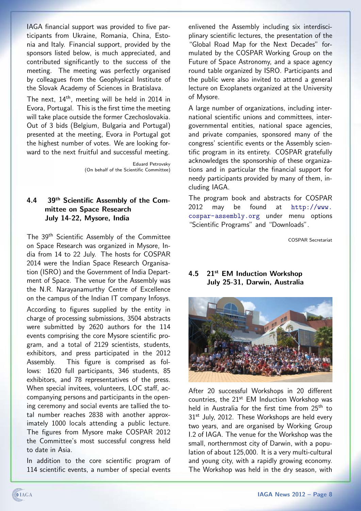IAGA financial support was provided to five participants from Ukraine, Romania, China, Estonia and Italy. Financial support, provided by the sponsors listed below, is much appreciated, and contributed significantly to the success of the meeting. The meeting was perfectly organised by colleagues from the Geophysical Institute of the Slovak Academy of Sciences in Bratislava.

The next, 14th, meeting will be held in 2014 in Evora, Portugal. This is the first time the meeting will take place outside the former Czechoslovakia. Out of 3 bids (Belgium, Bulgaria and Portugal) presented at the meeting, Evora in Portugal got the highest number of votes. We are looking forward to the next fruitful and successful meeting.

> Eduard Petrovsky (On behalf of the Scientific Committee)

## <span id="page-7-0"></span>4.4 39th Scientific Assembly of the Committee on Space Research July 14-22, Mysore, India

The 39th Scientific Assembly of the Committee on Space Research was organized in Mysore, India from 14 to 22 July. The hosts for COSPAR 2014 were the Indian Space Research Organisation (ISRO) and the Government of India Department of Space. The venue for the Assembly was the N.R. Narayanamurthy Centre of Excellence on the campus of the Indian IT company Infosys. According to figures supplied by the entity in charge of processing submissions, 3504 abstracts were submitted by 2620 authors for the 114 events comprising the core Mysore scientific program, and a total of 2129 scientists, students, exhibitors, and press participated in the 2012 Assembly. This figure is comprised as follows: 1620 full participants, 346 students, 85 exhibitors, and 78 representatives of the press. When special invitees, volunteers, LOC staff, accompanying persons and participants in the opening ceremony and social events are tallied the total number reaches 2838 with another approximately 1000 locals attending a public lecture. The figures from Mysore make COSPAR 2012 the Committee's most successful congress held to date in Asia.

In addition to the core scientific program of 114 scientific events, a number of special events

enlivened the Assembly including six interdisciplinary scientific lectures, the presentation of the "Global Road Map for the Next Decades" formulated by the COSPAR Working Group on the Future of Space Astronomy, and a space agency round table organized by ISRO. Participants and the public were also invited to attend a general lecture on Exoplanets organized at the University of Mysore.

A large number of organizations, including international scientific unions and committees, intergovernmental entities, national space agencies, and private companies, sponsored many of the congress' scientific events or the Assembly scientific program in its entirety. COSPAR gratefully acknowledges the sponsorship of these organizations and in particular the financial support for needy participants provided by many of them, including IAGA.

The program book and abstracts for COSPAR 2012 may be found at [http://www.](http://www.cospar-assembly.org) [cospar-assembly.org](http://www.cospar-assembly.org) under menu options "Scientific Programs" and "Downloads".

COSPAR Secretariat

## <span id="page-7-1"></span>4.5 21st EM Induction Workshop July 25-31, Darwin, Australia



After 20 successful Workshops in 20 different countries, the  $21^{st}$  EM Induction Workshop was held in Australia for the first time from 25<sup>th</sup> to 31<sup>st</sup> July, 2012. These Workshops are held every two years, and are organised by Working Group I.2 of IAGA. The venue for the Workshop was the small, northernmost city of Darwin, with a population of about 125,000. It is a very multi-cultural and young city, with a rapidly growing economy. The Workshop was held in the dry season, with

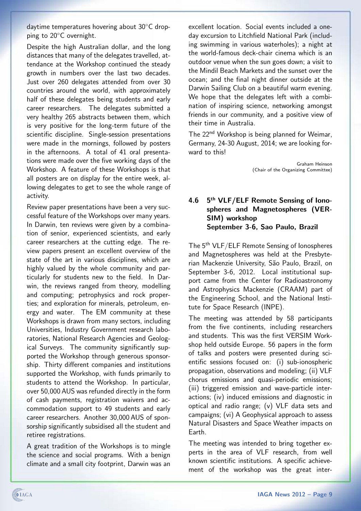daytime temperatures hovering about 30℃ dropping to 20<sup>°</sup>C overnight.

Despite the high Australian dollar, and the long distances that many of the delegates travelled, attendance at the Workshop continued the steady growth in numbers over the last two decades. Just over 260 delegates attended from over 30 countries around the world, with approximately half of these delegates being students and early career researchers. The delegates submitted a very healthy 265 abstracts between them, which is very positive for the long-term future of the scientific discipline. Single-session presentations were made in the mornings, followed by posters in the afternoons. A total of 41 oral presentations were made over the five working days of the Workshop. A feature of these Workshops is that all posters are on display for the entire week, allowing delegates to get to see the whole range of activity.

Review paper presentations have been a very successful feature of the Workshops over many years. In Darwin, ten reviews were given by a combination of senior, experienced scientists, and early career researchers at the cutting edge. The review papers present an excellent overview of the state of the art in various disciplines, which are highly valued by the whole community and particularly for students new to the field. In Darwin, the reviews ranged from theory, modelling and computing; petrophysics and rock properties; and exploration for minerals, petroleum, energy and water. The EM community at these Workshops is drawn from many sectors, including Universities, Industry Government research laboratories, National Research Agencies and Geological Surveys. The community significantly supported the Workshop through generous sponsorship. Thirty different companies and institutions supported the Workshop, with funds primarily to students to attend the Workshop. In particular, over 50,000 AUS was refunded directly in the form of cash payments, registration waivers and accommodation support to 49 students and early career researchers. Another 30,000 AUS of sponsorship significantly subsidised all the student and retiree registrations.

A great tradition of the Workshops is to mingle the science and social programs. With a benign climate and a small city footprint, Darwin was an excellent location. Social events included a oneday excursion to Litchfield National Park (including swimming in various waterholes); a night at the world-famous deck-chair cinema which is an outdoor venue when the sun goes down; a visit to the Mindil Beach Markets and the sunset over the ocean; and the final night dinner outside at the Darwin Sailing Club on a beautiful warm evening. We hope that the delegates left with a combination of inspiring science, networking amongst friends in our community, and a positive view of their time in Australia.

The 22<sup>nd</sup> Workshop is being planned for Weimar, Germany, 24-30 August, 2014; we are looking forward to this!

> Graham Heinson (Chair of the Organizing Committee)

## <span id="page-8-0"></span>4.6 5<sup>th</sup> VLF/ELF Remote Sensing of Ionospheres and Magnetospheres (VER-SIM) workshop September 3-6, Sao Paulo, Brazil

The 5<sup>th</sup> VLF/ELF Remote Sensing of Ionospheres and Magnetospheres was held at the Presbyterian Mackenzie University, São Paulo, Brazil, on September 3-6, 2012. Local institutional support came from the Center for Radioastronomy and Astrophysics Mackenzie (CRAAM) part of the Engineering School, and the National Institute for Space Research (INPE).

The meeting was attended by 58 participants from the five continents, including researchers and students. This was the first VERSIM Workshop held outside Europe. 56 papers in the form of talks and posters were presented during scientific sessions focused on: (i) sub-ionospheric propagation, observations and modeling; (ii) VLF chorus emissions and quasi-periodic emissions; (iii) triggered emission and wave-particle interactions; (iv) induced emissions and diagnostic in optical and radio range; (v) VLF data sets and campaigns; (vi) A Geophysical approach to assess Natural Disasters and Space Weather impacts on Earth.

The meeting was intended to bring together experts in the area of VLF research, from well known scientific institutions. A specific achievement of the workshop was the great inter-

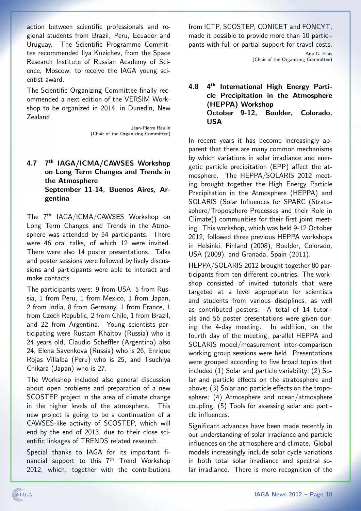action between scientific professionals and regional students from Brazil, Peru, Ecuador and Uruguay. The Scientific Programme Committee recommended Ilya Kuzichev, from the Space Research Institute of Russian Academy of Science, Moscow, to receive the IAGA young scientist award.

The Scientific Organizing Committee finally recommended a next edition of the VERSIM Workshop to be organized in 2014, in Dunedin, New Zealand.

> Jean-Pierre Raulin (Chair of the Organizing Committee)

## <span id="page-9-0"></span>4.7 7<sup>th</sup> IAGA/ICMA/CAWSES Workshop on Long Term Changes and Trends in the Atmosphere September 11-14, Buenos Aires, Argentina

The 7th IAGA/ICMA/CAWSES Workshop on Long Term Changes and Trends in the Atmosphere was attended by 54 participants. There were 46 oral talks, of which 12 were invited. There were also 14 poster presentations. Talks and poster sessions were followed by lively discussions and participants were able to interact and make contacts.

The participants were: 9 from USA, 5 from Russia, 1 from Peru, 1 from Mexico, 1 from Japan, 2 from India, 8 from Germany, 1 from France, 1 from Czech Republic, 2 from Chile, 1 from Brazil, and 22 from Argentina. Young scientists participating were Rustam Khaitov (Russia) who is 24 years old, Claudio Scheffler (Argentina) also 24, Elena Savenkova (Russia) who is 26, Enrique Rojas Villalba (Peru) who is 25, and Tsuchiya Chikara (Japan) who is 27.

The Workshop included also general discussion about open problems and preparation of a new SCOSTEP project in the area of climate change in the higher levels of the atmosphere. This new project is going to be a continuation of a CAWSES-like activity of SCOSTEP, which will end by the end of 2013, due to their close scientific linkages of TRENDS related research.

Special thanks to IAGA for its important financial support to this 7<sup>th</sup> Trend Workshop 2012, which, together with the contributions from ICTP, SCOSTEP, CONICET and FONCYT, made it possible to provide more than 10 participants with full or partial support for travel costs.

> Ana G. Elias (Chair of the Organizing Committee)

## <span id="page-9-1"></span>4.8 4th International High Energy Particle Precipitation in the Atmosphere (HEPPA) Workshop October 9-12, Boulder, Colorado, USA

In recent years it has become increasingly apparent that there are many common mechanisms by which variations in solar irradiance and energetic particle precipitation (EPP) affect the atmosphere. The HEPPA/SOLARIS 2012 meeting brought together the High Energy Particle Precipitation in the Atmosphere (HEPPA) and SOLARIS (Solar Influences for SPARC (Stratosphere/Troposphere Processes and their Role in Climate)) communities for their first joint meeting. This workshop, which was held 9-12 October 2012, followed three previous HEPPA workshops in Helsinki, Finland (2008), Boulder, Colorado, USA (2009), and Granada, Spain (2011).

HEPPA/SOLARIS 2012 brought together 80 participants from ten different countries. The workshop consisted of invited tutorials that were targeted at a level appropriate for scientists and students from various disciplines, as well as contributed posters. A total of 14 tutorials and 56 poster presentations were given during the 4-day meeting. In addition, on the fourth day of the meeting, parallel HEPPA and SOLARIS model/measurement inter-comparison working group sessions were held. Presentations were grouped according to five broad topics that included (1) Solar and particle variability; (2) Solar and particle effects on the stratosphere and above; (3) Solar and particle effects on the troposphere; (4) Atmosphere and ocean/atmosphere coupling; (5) Tools for assessing solar and particle influences.

Significant advances have been made recently in our understanding of solar irradiance and particle influences on the atmosphere and climate. Global models increasingly include solar cycle variations in both total solar irradiance and spectral solar irradiance. There is more recognition of the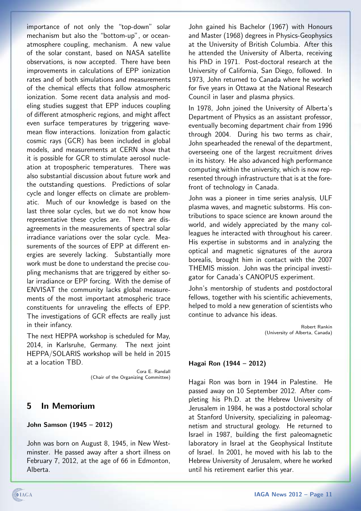importance of not only the "top-down" solar mechanism but also the "bottom-up", or oceanatmosphere coupling, mechanism. A new value of the solar constant, based on NASA satellite observations, is now accepted. There have been improvements in calculations of EPP ionization rates and of both simulations and measurements of the chemical effects that follow atmospheric ionization. Some recent data analysis and modeling studies suggest that EPP induces coupling of different atmospheric regions, and might affect even surface temperatures by triggering wavemean flow interactions. Ionization from galactic cosmic rays (GCR) has been included in global models, and measurements at CERN show that it is possible for GCR to stimulate aerosol nucleation at tropospheric temperatures. There was also substantial discussion about future work and the outstanding questions. Predictions of solar cycle and longer effects on climate are problematic. Much of our knowledge is based on the last three solar cycles, but we do not know how representative these cycles are. There are disagreements in the measurements of spectral solar irradiance variations over the solar cycle. Measurements of the sources of EPP at different energies are severely lacking. Substantially more work must be done to understand the precise coupling mechanisms that are triggered by either solar irradiance or EPP forcing. With the demise of ENVISAT the community lacks global measurements of the most important atmospheric trace constituents for unraveling the effects of EPP. The investigations of GCR effects are really just in their infancy.

The next HEPPA workshop is scheduled for May, 2014, in Karlsruhe, Germany. The next joint HEPPA/SOLARIS workshop will be held in 2015 at a location TBD.

> Cora E. Randall (Chair of the Organizing Committee)

## <span id="page-10-0"></span>5 In Memorium

### John Samson (1945 – 2012)

John was born on August 8, 1945, in New Westminster. He passed away after a short illness on February 7, 2012, at the age of 66 in Edmonton, Alberta.

John gained his Bachelor (1967) with Honours and Master (1968) degrees in Physics-Geophysics at the University of British Columbia. After this he attended the University of Alberta, receiving his PhD in 1971. Post-doctoral research at the University of California, San Diego, followed. In 1973, John returned to Canada where he worked for five years in Ottawa at the National Research Council in laser and plasma physics.

In 1978, John joined the University of Alberta's Department of Physics as an assistant professor, eventually becoming department chair from 1996 through 2004. During his two terms as chair, John spearheaded the renewal of the department, overseeing one of the largest recruitment drives in its history. He also advanced high performance computing within the university, which is now represented through infrastructure that is at the forefront of technology in Canada.

John was a pioneer in time series analysis, ULF plasma waves, and magnetic substorms. His contributions to space science are known around the world, and widely appreciated by the many colleagues he interacted with throughout his career. His expertise in substorms and in analyzing the optical and magnetic signatures of the aurora borealis, brought him in contact with the 2007 THEMIS mission. John was the principal investigator for Canada's CANOPUS experiment.

John's mentorship of students and postdoctoral fellows, together with his scientific achievements, helped to mold a new generation of scientists who continue to advance his ideas.

> Robert Rankin (University of Alberta, Canada)

### Hagai Ron (1944 – 2012)

Hagai Ron was born in 1944 in Palestine. He passed away on 10 September 2012. After completing his Ph.D. at the Hebrew University of Jerusalem in 1984, he was a postdoctoral scholar at Stanford University, specializing in paleomagnetism and structural geology. He returned to Israel in 1987, building the first paleomagnetic laboratory in Israel at the Geophysical Institute of Israel. In 2001, he moved with his lab to the Hebrew University of Jerusalem, where he worked until his retirement earlier this year.

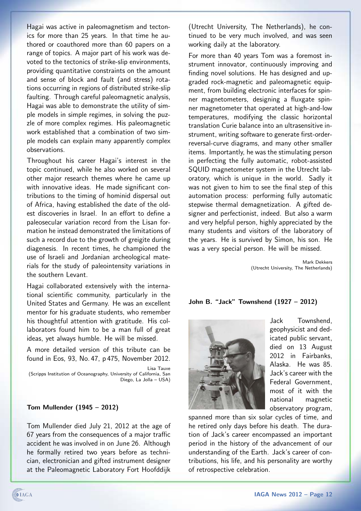Hagai was active in paleomagnetism and tectonics for more than 25 years. In that time he authored or coauthored more than 60 papers on a range of topics. A major part of his work was devoted to the tectonics of strike-slip environments, providing quantitative constraints on the amount and sense of block and fault (and stress) rotations occurring in regions of distributed strike-slip faulting. Through careful paleomagnetic analysis, Hagai was able to demonstrate the utility of simple models in simple regimes, in solving the puzzle of more complex regimes. His paleomagnetic work established that a combination of two simple models can explain many apparently complex observations.

Throughout his career Hagai's interest in the topic continued, while he also worked on several other major research themes where he came up with innovative ideas. He made significant contributions to the timing of hominid dispersal out of Africa, having established the date of the oldest discoveries in Israel. In an effort to define a paleosecular variation record from the Lisan formation he instead demonstrated the limitations of such a record due to the growth of greigite during diagenesis. In recent times, he championed the use of Israeli and Jordanian archeological materials for the study of paleointensity variations in the southern Levant.

Hagai collaborated extensively with the international scientific community, particularly in the United States and Germany. He was an excellent mentor for his graduate students, who remember his thoughtful attention with gratitude. His collaborators found him to be a man full of great ideas, yet always humble. He will be missed.

A more detailed version of this tribute can be found in Eos, 93, No. 47, p 475, November 2012.

Lisa Tauxe (Scripps Institution of Oceanography, University of California, San Diego, La Jolla – USA)

### Tom Mullender (1945 – 2012)

Tom Mullender died July 21, 2012 at the age of 67 years from the consequences of a major traffic accident he was involved in on June 26. Although he formally retired two years before as technician, electronician and gifted instrument designer at the Paleomagnetic Laboratory Fort Hoofddijk

(Utrecht University, The Netherlands), he continued to be very much involved, and was seen working daily at the laboratory.

For more than 40 years Tom was a foremost instrument innovator, continuously improving and finding novel solutions. He has designed and upgraded rock-magnetic and paleomagnetic equipment, from building electronic interfaces for spinner magnetometers, designing a fluxgate spinner magnetometer that operated at high-and-low temperatures, modifying the classic horizontal translation Curie balance into an ultrasensitive instrument, writing software to generate first-orderreversal-curve diagrams, and many other smaller items. Importantly, he was the stimulating person in perfecting the fully automatic, robot-assisted SQUID magnetometer system in the Utrecht laboratory, which is unique in the world. Sadly it was not given to him to see the final step of this automation process: performing fully automatic stepwise thermal demagnetization. A gifted designer and perfectionist, indeed. But also a warm and very helpful person, highly appreciated by the many students and visitors of the laboratory of the years. He is survived by Simon, his son. He was a very special person. He will be missed.

> Mark Dekkers (Utrecht University, The Netherlands)

John B. "Jack" Townshend (1927 – 2012)



Jack Townshend, geophysicist and dedicated public servant, died on 13 August 2012 in Fairbanks, Alaska. He was 85. Jack's career with the Federal Government, most of it with the national magnetic observatory program,

spanned more than six solar cycles of time, and he retired only days before his death. The duration of Jack's career encompassed an important period in the history of the advancement of our understanding of the Earth. Jack's career of contributions, his life, and his personality are worthy of retrospective celebration.

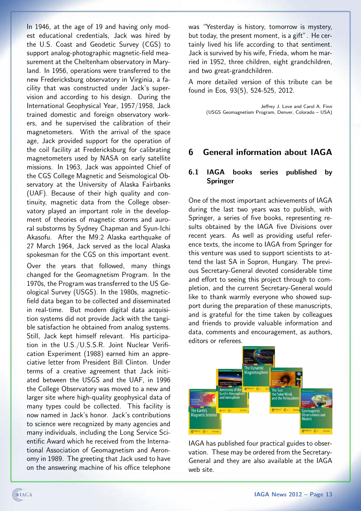In 1946, at the age of 19 and having only modest educational credentials, Jack was hired by the U.S. Coast and Geodetic Survey (CGS) to support analog-photographic magnetic-field measurement at the Cheltenham observatory in Maryland. In 1956, operations were transferred to the new Fredericksburg observatory in Virginia, a facility that was constructed under Jack's supervision and according to his design. During the International Geophysical Year, 1957/1958, Jack trained domestic and foreign observatory workers, and he supervised the calibration of their magnetometers. With the arrival of the space age, Jack provided support for the operation of the coil facility at Fredericksburg for calibrating magnetometers used by NASA on early satellite missions. In 1963, Jack was appointed Chief of the CGS College Magnetic and Seismological Observatory at the University of Alaska Fairbanks (UAF). Because of their high quality and continuity, magnetic data from the College observatory played an important role in the development of theories of magnetic storms and auroral substorms by Sydney Chapman and Syun-Ichi Akasofu. After the M9.2 Alaska earthquake of 27 March 1964, Jack served as the local Alaska spokesman for the CGS on this important event.

Over the years that followed, many things changed for the Geomagnetism Program. In the 1970s, the Program was transferred to the US Geological Survey (USGS). In the 1980s, magneticfield data began to be collected and disseminated in real-time. But modern digital data acquisition systems did not provide Jack with the tangible satisfaction he obtained from analog systems. Still, Jack kept himself relevant. His participation in the U.S./U.S.S.R. Joint Nuclear Verification Experiment (1988) earned him an appreciative letter from President Bill Clinton. Under terms of a creative agreement that Jack initiated between the USGS and the UAF, in 1996 the College Observatory was moved to a new and larger site where high-quality geophysical data of many types could be collected. This facility is now named in Jack's honor. Jack's contributions to science were recognized by many agencies and many individuals, including the Long Service Scientific Award which he received from the International Association of Geomagnetism and Aeronomy in 1989. The greeting that Jack used to have on the answering machine of his office telephone

was "Yesterday is history, tomorrow is mystery, but today, the present moment, is a gift". He certainly lived his life according to that sentiment. Jack is survived by his wife, Frieda, whom he married in 1952, three children, eight grandchildren, and two great-grandchildren.

A more detailed version of this tribute can be found in Eos, 93(5), 524-525, 2012.

> Jeffrey J. Love and Carol A. Finn (USGS Geomagnetism Program, Denver, Colorado – USA)

# <span id="page-12-0"></span>6 General information about IAGA

## <span id="page-12-1"></span>6.1 IAGA books series published by Springer

One of the most important achievements of IAGA during the last two years was to publish, with Springer, a series of five books, representing results obtained by the IAGA five Divisions over recent years. As well as providing useful reference texts, the income to IAGA from Springer for this venture was used to support scientists to attend the last SA in Sopron, Hungary. The previous Secretary-General devoted considerable time and effort to seeing this project through to completion, and the current Secretary-General would like to thank warmly everyone who showed support during the preparation of these manuscripts, and is grateful for the time taken by colleagues and friends to provide valuable information and data, comments and encouragement, as authors, editors or referees.



IAGA has published four practical guides to observation. These may be ordered from the Secretary-General and they are also available at the IAGA web site.